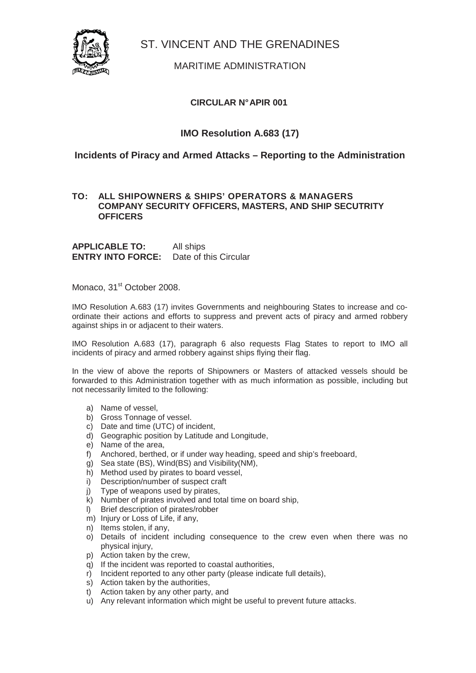

ST. VINCENT AND THE GRENADINES

## MARITIME ADMINISTRATION

## **CIRCULAR N° APIR 001**

# **IMO Resolution A.683 (17)**

## **Incidents of Piracy and Armed Attacks – Reporting to the Administration**

#### **TO: ALL SHIPOWNERS & SHIPS' OPERATORS & MANAGERS COMPANY SECURITY OFFICERS, MASTERS, AND SHIP SECUTRITY OFFICERS**

**APPLICABLE TO:** All ships **ENTRY INTO FORCE:** Date of this Circular

Monaco, 31<sup>st</sup> October 2008.

IMO Resolution A.683 (17) invites Governments and neighbouring States to increase and coordinate their actions and efforts to suppress and prevent acts of piracy and armed robbery against ships in or adjacent to their waters.

IMO Resolution A.683 (17), paragraph 6 also requests Flag States to report to IMO all incidents of piracy and armed robbery against ships flying their flag.

In the view of above the reports of Shipowners or Masters of attacked vessels should be forwarded to this Administration together with as much information as possible, including but not necessarily limited to the following:

- a) Name of vessel,
- b) Gross Tonnage of vessel.
- c) Date and time (UTC) of incident,
- d) Geographic position by Latitude and Longitude,
- e) Name of the area,
- f) Anchored, berthed, or if under way heading, speed and ship's freeboard,
- g) Sea state (BS), Wind(BS) and Visibility(NM),
- h) Method used by pirates to board vessel,
- i) Description/number of suspect craft
- j) Type of weapons used by pirates,
- k) Number of pirates involved and total time on board ship,
- l) Brief description of pirates/robber
- m) Injury or Loss of Life, if any,
- n) Items stolen, if any,
- o) Details of incident including consequence to the crew even when there was no physical injury,
- p) Action taken by the crew,
- q) If the incident was reported to coastal authorities,
- r) Incident reported to any other party (please indicate full details),
- s) Action taken by the authorities,
- t) Action taken by any other party, and
- u) Any relevant information which might be useful to prevent future attacks.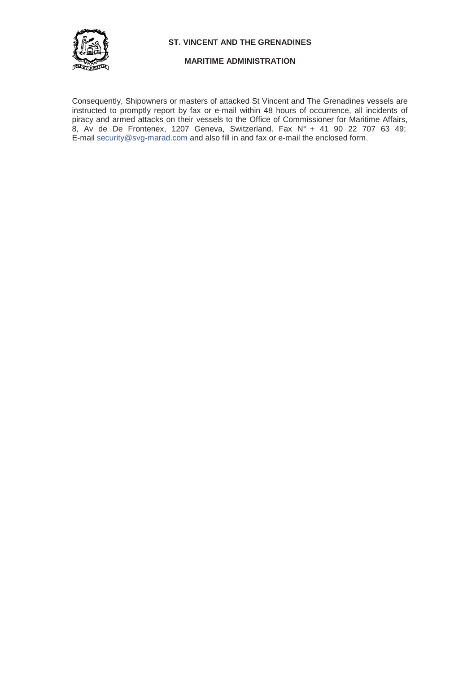

**ST. VINCENT AND THE GRENADINES** 

#### **MARITIME ADMINISTRATION**

Consequently, Shipowners or masters of attacked St Vincent and The Grenadines vessels are instructed to promptly report by fax or e-mail within 48 hours of occurrence, all incidents of piracy and armed attacks on their vessels to the Office of Commissioner for Maritime Affairs, 8, Av de De Frontenex, 1207 Geneva, Switzerland. Fax N° + 41 90 22 707 63 49; E-mail security@svg-marad.com and also fill in and fax or e-mail the enclosed form.